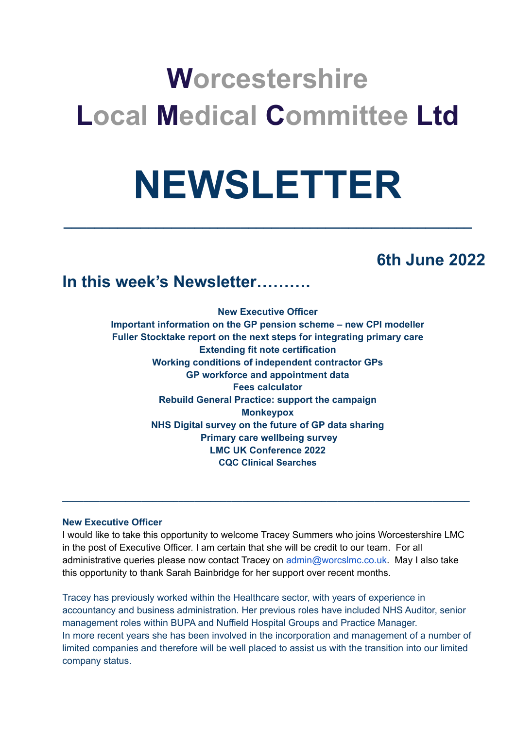# **Worcestershire Local Medical Committee Ltd**

# **NEWSLETTER**

**\_\_\_\_\_\_\_\_\_\_\_\_\_\_\_\_\_\_\_\_\_\_\_\_\_\_\_\_\_\_\_\_\_\_\_\_\_\_\_\_\_\_\_\_\_\_\_\_\_\_\_\_\_**

## **6th June 2022**

### **In this week's Newsletter……….**

**New Executive Officer Important information on the GP pension scheme – new CPI modeller Fuller Stocktake report on the next steps for integrating primary care Extending fit note certification Working conditions of independent contractor GPs GP workforce and appointment data Fees calculator Rebuild General Practice: support the campaign Monkeypox NHS Digital survey on the future of GP data sharing Primary care wellbeing survey LMC UK Conference 2022 CQC Clinical Searches**

#### **New Executive Officer**

I would like to take this opportunity to welcome Tracey Summers who joins Worcestershire LMC in the post of Executive Officer. I am certain that she will be credit to our team. For all administrative queries please now contact Tracey on admin@worcslmc.co.uk. May I also take this opportunity to thank Sarah Bainbridge for her support over recent months.

**\_\_\_\_\_\_\_\_\_\_\_\_\_\_\_\_\_\_\_\_\_\_\_\_\_\_\_\_\_\_\_\_\_\_\_\_\_\_\_\_\_\_\_\_\_\_\_\_\_\_\_\_\_\_\_\_\_\_\_\_\_\_\_\_\_\_\_\_\_\_\_\_\_\_\_\_\_**

Tracey has previously worked within the Healthcare sector, with years of experience in accountancy and business administration. Her previous roles have included NHS Auditor, senior management roles within BUPA and Nuffield Hospital Groups and Practice Manager. In more recent years she has been involved in the incorporation and management of a number of limited companies and therefore will be well placed to assist us with the transition into our limited company status.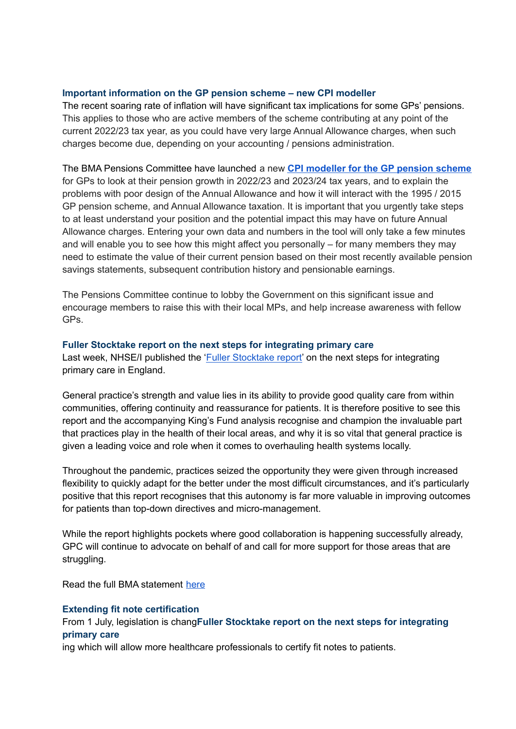#### **Important information on the GP pension scheme – new CPI modeller**

The recent soaring rate of inflation will have significant tax implications for some GPs' pensions. This applies to those who are active members of the scheme contributing at any point of the current 2022/23 tax year, as you could have very large Annual Allowance charges, when such charges become due, depending on your accounting / pensions administration.

The BMA Pensions Committee have launched a new **CPI [modeller](https://www.bma.org.uk/pay-and-contracts/pensions/tax/cpi-modeller-for-gp-pension-scheme) for the GP pension scheme** for GPs to look at their pension growth in 2022/23 and 2023/24 tax years, and to explain the problems with poor design of the Annual Allowance and how it will interact with the 1995 / 2015 GP pension scheme, and Annual Allowance taxation. It is important that you urgently take steps to at least understand your position and the potential impact this may have on future Annual Allowance charges. Entering your own data and numbers in the tool will only take a few minutes and will enable you to see how this might affect you personally – for many members they may need to estimate the value of their current pension based on their most recently available pension savings statements, subsequent contribution history and pensionable earnings.

The Pensions Committee continue to lobby the Government on this significant issue and encourage members to raise this with their local MPs, and help increase awareness with fellow GPs.

#### **Fuller Stocktake report on the next steps for integrating primary care**

Last week, NHSE/I published the 'Fuller [Stocktake](https://www.england.nhs.uk/publication/next-steps-for-integrating-primary-care-fuller-stocktake-report/) report' on the next steps for integrating primary care in England.

General practice's strength and value lies in its ability to provide good quality care from within communities, offering continuity and reassurance for patients. It is therefore positive to see this report and the accompanying King's Fund analysis recognise and champion the invaluable part that practices play in the health of their local areas, and why it is so vital that general practice is given a leading voice and role when it comes to overhauling health systems locally.

Throughout the pandemic, practices seized the opportunity they were given through increased flexibility to quickly adapt for the better under the most difficult circumstances, and it's particularly positive that this report recognises that this autonomy is far more valuable in improving outcomes for patients than top-down directives and micro-management.

While the report highlights pockets where good collaboration is happening successfully already, GPC will continue to advocate on behalf of and call for more support for those areas that are struggling.

Read the full BMA statement [here](https://www.bma.org.uk/bma-media-centre/vital-that-high-quality-general-practice-can-thrive-amid-nhs-changes-says-bma-in-response-to-fuller-stocktake)

#### **Extending fit note certification**

From 1 July, legislation is chang**Fuller Stocktake report on the next steps for integrating primary care**

ing which will allow more healthcare professionals to certify fit notes to patients.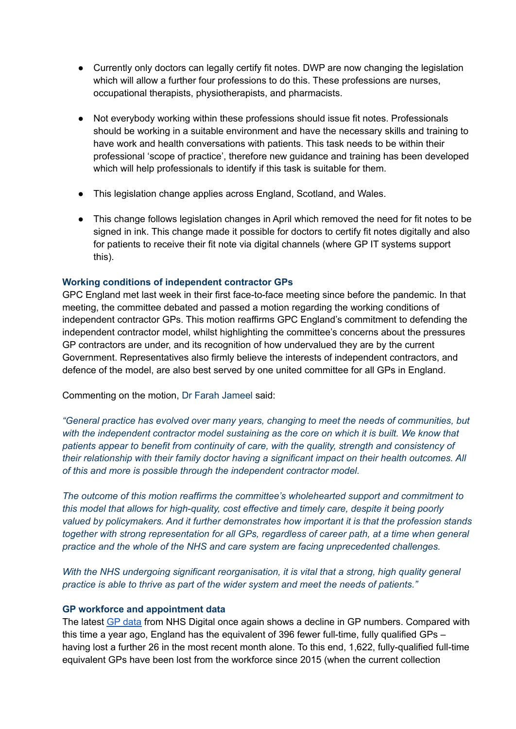- Currently only doctors can legally certify fit notes. DWP are now changing the legislation which will allow a further four professions to do this. These professions are nurses, occupational therapists, physiotherapists, and pharmacists.
- Not everybody working within these professions should issue fit notes. Professionals should be working in a suitable environment and have the necessary skills and training to have work and health conversations with patients. This task needs to be within their professional 'scope of practice', therefore new guidance and training has been developed which will help professionals to identify if this task is suitable for them.
- This legislation change applies across England, Scotland, and Wales.
- This change follows legislation changes in April which removed the need for fit notes to be signed in ink. This change made it possible for doctors to certify fit notes digitally and also for patients to receive their fit note via digital channels (where GP IT systems support this).

#### **Working conditions of independent contractor GPs**

GPC England met last week in their first face-to-face meeting since before the pandemic. In that meeting, the committee debated and passed a motion regarding the working conditions of independent contractor GPs. This motion reaffirms GPC England's commitment to defending the independent contractor model, whilst highlighting the committee's concerns about the pressures GP contractors are under, and its recognition of how undervalued they are by the current Government. Representatives also firmly believe the interests of independent contractors, and defence of the model, are also best served by one united committee for all GPs in England.

Commenting on the motion, Dr Farah Jameel said:

*"General practice has evolved over many years, changing to meet the needs of communities, but with the independent contractor model sustaining as the core on which it is built. We know that patients appear to benefit from continuity of care, with the quality, strength and consistency of their relationship with their family doctor having a significant impact on their health outcomes. All of this and more is possible through the independent contractor model.*

*The outcome of this motion reaffirms the committee's wholehearted support and commitment to this model that allows for high-quality, cost effective and timely care, despite it being poorly valued by policymakers. And it further demonstrates how important it is that the profession stands together with strong representation for all GPs, regardless of career path, at a time when general practice and the whole of the NHS and care system are facing unprecedented challenges.*

*With the NHS undergoing significant reorganisation, it is vital that a strong, high quality general practice is able to thrive as part of the wider system and meet the needs of patients."*

#### **GP workforce and appointment data**

The latest GP [data](https://digital.nhs.uk/data-and-information/publications/statistical/appointments-in-general-practice/march-2022) from NHS Digital once again shows a decline in GP numbers. Compared with this time a year ago, England has the equivalent of 396 fewer full-time, fully qualified GPs – having lost a further 26 in the most recent month alone. To this end, 1,622, fully-qualified full-time equivalent GPs have been lost from the workforce since 2015 (when the current collection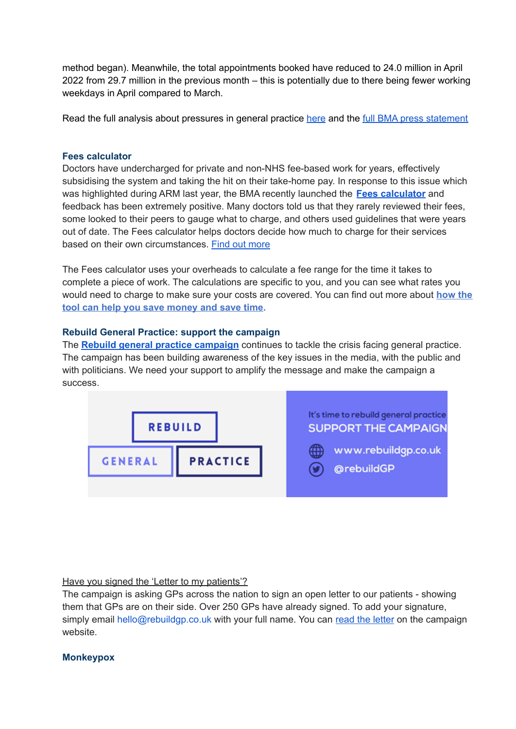method began). Meanwhile, the total appointments booked have reduced to 24.0 million in April 2022 from 29.7 million in the previous month – this is potentially due to there being fewer working weekdays in April compared to March.

Read the full analysis about pressures in general practice [here](https://www.bma.org.uk/advice-and-support/nhs-delivery-and-workforce/pressures/pressures-in-general-practice-data-analysis) and the full BMA press [statement](https://www.bma.org.uk/bma-media-centre/gp-data-testament-to-staff-but-clock-is-ticking-on-addressing-workforce-crisis-says-bma)

#### **Fees calculator**

Doctors have undercharged for private and non-NHS fee-based work for years, effectively subsidising the system and taking the hit on their take-home pay. In response to this issue which was highlighted during ARM last year, the BMA recently launched the **Fees [calculator](https://www.bma.org.uk/pay-and-contracts/fees/fees-calculator/bma-fees-calculator)** and feedback has been extremely positive. Many doctors told us that they rarely reviewed their fees, some looked to their peers to gauge what to charge, and others used guidelines that were years out of date. The Fees calculator helps doctors decide how much to charge for their services based on their own circumstances. Find out [more](https://www.bma.org.uk/pay-and-contracts/fees/fees-calculator/bma-fees-calculator)

The Fees calculator uses your overheads to calculate a fee range for the time it takes to complete a piece of work. The calculations are specific to you, and you can see what rates you would need to charge to make sure your costs are covered. You can find out more about **[how](https://www.bma.org.uk/pay-and-contracts/fees/fees-calculator/bma-fees-calculator) the tool can help you save [money](https://www.bma.org.uk/pay-and-contracts/fees/fees-calculator/bma-fees-calculator) and save time.**

#### **Rebuild General Practice: support the campaign**

The **Rebuild general practice [campaign](https://bma-mail.org.uk/JVX-7T392-G7LO7P-4RBR12-1/c.aspx)** continues to tackle the crisis facing general practice. The campaign has been building awareness of the key issues in the media, with the public and with politicians. We need your support to amplify the message and make the campaign a success.



#### Have you signed the 'Letter to my patients'?

The campaign is asking GPs across the nation to sign an open letter to our patients - showing them that GPs are on their side. Over 250 GPs have already signed. To add your signature, simply email hello@rebuildgp.co.uk with your full name. You can read the [letter](https://rebuildgp.co.uk/campaign-assets/new-letter-to-my-patients) on the campaign website.

#### **Monkeypox**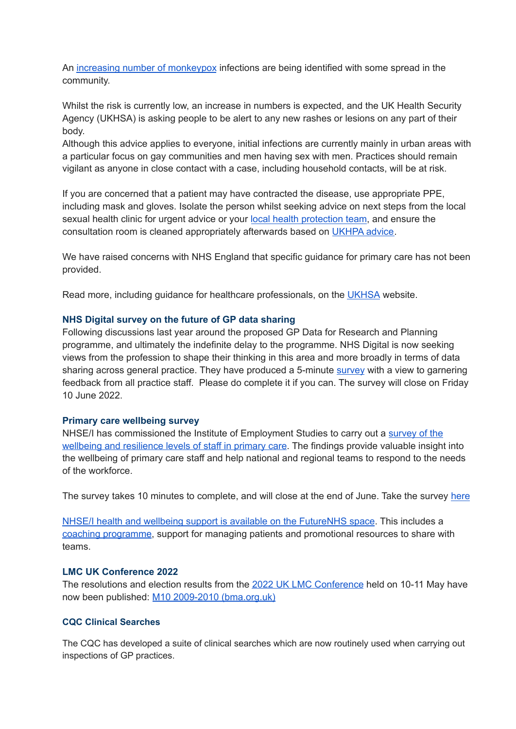An increasing number of [monkeypox](https://www.gov.uk/government/news/monkeypox-cases-confirmed-in-england-latest-updates) infections are being identified with some spread in the community.

Whilst the risk is currently low, an increase in numbers is expected, and the UK Health Security Agency (UKHSA) is asking people to be alert to any new rashes or lesions on any part of their body.

Although this advice applies to everyone, initial infections are currently mainly in urban areas with a particular focus on gay communities and men having sex with men. Practices should remain vigilant as anyone in close contact with a case, including household contacts, will be at risk.

If you are concerned that a patient may have contracted the disease, use appropriate PPE, including mask and gloves. Isolate the person whilst seeking advice on next steps from the local sexual health clinic for urgent advice or your local health [protection](https://www.gov.uk/health-protection-team) team, and ensure the consultation room is cleaned appropriately afterwards based on [UKHPA](https://assets.publishing.service.gov.uk/government/uploads/system/uploads/attachment_data/file/746086/Monkeypox_Guidance__cleaning_decontamination.pdf) advice.

We have raised concerns with NHS England that specific quidance for primary care has not been provided.

Read more, including guidance for healthcare professionals, on the [UKHSA](https://www.gov.uk/government/collections/monkeypox-guidance) website.

#### **NHS Digital survey on the future of GP data sharing**

Following discussions last year around the proposed GP Data for Research and Planning programme, and ultimately the indefinite delay to the programme. NHS Digital is now seeking views from the profession to shape their thinking in this area and more broadly in terms of data sharing across general practice. They have produced a 5-minute [survey](https://feedback.digital.nhs.uk/jfe/form/SV_54JLlAXbFi0VPro) with a view to garnering feedback from all practice staff. Please do complete it if you can. The survey will close on Friday 10 June 2022.

#### **Primary care wellbeing survey**

NHSE/I has commissioned the Institute of Employment Studies to carry out a [survey](https://online1.snapsurveys.com/ad04ig) of the wellbeing and [resilience](https://online1.snapsurveys.com/ad04ig) levels of staff in primary care. The findings provide valuable insight into the wellbeing of primary care staff and help national and regional teams to respond to the needs of the workforce.

The survey takes 10 minutes to complete, and will close at the end of June. Take the survey [here](https://online1.snapsurveys.com/ad04ig)

NHSE/I health and wellbeing support is available on the [FutureNHS](https://future.nhs.uk/P_C_N/view?objectID=23366960) space. This includes a coaching [programme](https://www.england.nhs.uk/supporting-our-nhs-people/support-now/looking-after-you-confidential-coaching-and-support-for-the-primary-care-workforce/looking-after-you-too/), support for managing patients and promotional resources to share with teams.

#### **LMC UK Conference 2022**

The resolutions and election results from the 2022 UK LMC [Conference](https://www.bma.org.uk/what-we-do/local-medical-committees) held on 10-11 May have now been published: M10 2009-2010 [\(bma.org.uk\)](https://www.bma.org.uk/media/5658/bma-uk-lmc-conference-news-24-may-2022.pdf)

#### **CQC Clinical Searches**

The CQC has developed a suite of clinical searches which are now routinely used when carrying out inspections of GP practices.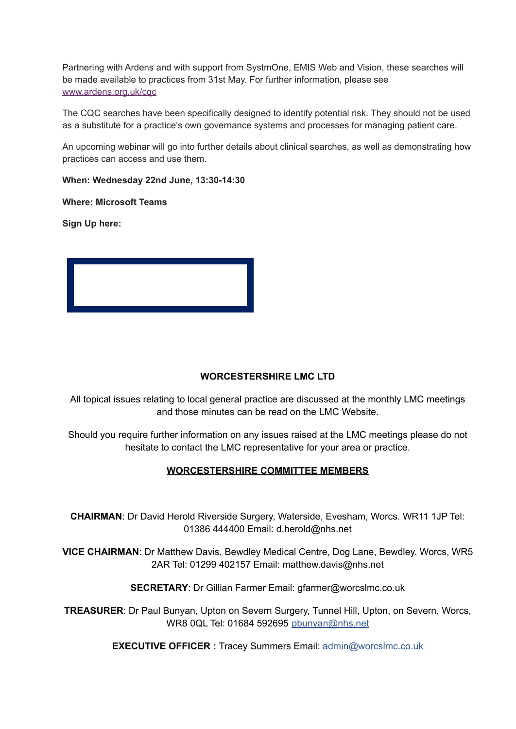Partnering with Ardens and with support from SystmOne, EMIS Web and Vision, these searches will be made available to practices from 31st May. For further information, please see [www.ardens.org.uk/cqc](https://lnks.gd/l/eyJhbGciOiJIUzI1NiJ9.eyJidWxsZXRpbl9saW5rX2lkIjoxMDEsInVyaSI6ImJwMjpjbGljayIsImJ1bGxldGluX2lkIjoiMjAyMjA1MzEuNTg2NTcwNDEiLCJ1cmwiOiJodHRwczovL2dicjAxLnNhZmVsaW5rcy5wcm90ZWN0aW9uLm91dGxvb2suY29tLz91cmw9aHR0cCUzQSUyRiUyRnd3dy5hcmRlbnMub3JnLnVrJTJGY3FjJmRhdGE9MDUlN0MwMSU3Q0RhdmlkLkd3eXRoZXIlNDBjcWMub3JnLnVrJTdDMGIxNGMwYzQyZjZiNDZhMTI5MTQwOGRhM2ZmMGFmYTElN0NhNTVkY2FiOGNlNjY0NWVhYWIzZjY1YmMyYjA3YjVkMyU3QzElN0MwJTdDNjM3ODkyNjAwMjIyODQzNzgxJTdDVW5rbm93biU3Q1RXRnBiR1pzYjNkOGV5SldJam9pTUM0d0xqQXdNREFpTENKUUlqb2lWMmx1TXpJaUxDSkJUaUk2SWsxaGFXd2lMQ0pYVkNJNk1uMCUzRCU3QzMwMDAlN0MlN0MlN0Mmc2RhdGE9VWRLVVhjJTJCam5TOEdoNlolMkJKU3RFQ3d3TjVWak9uNTBoODR6cHozOFF6SnMlM0QmcmVzZXJ2ZWQ9MCJ9.dQnMT0SX9Q_1JXdd5ZsWMXX7rd82j34C-FqXaiMn3uE/s/605308837/br/132135063299-l)

The CQC searches have been specifically designed to identify potential risk. They should not be used as a substitute for a practice's own governance systems and processes for managing patient care.

An upcoming webinar will go into further details about clinical searches, as well as demonstrating how practices can access and use them.

**When: Wednesday 22nd June, 13:30-14:30**

**Where: Microsoft Teams**

**Sign Up here:**



#### **WORCESTERSHIRE LMC LTD**

All topical issues relating to local general practice are discussed at the monthly LMC meetings and those minutes can be read on the LMC Website.

Should you require further information on any issues raised at the LMC meetings please do not hesitate to contact the LMC representative for your area or practice.

#### **WORCESTERSHIRE COMMITTEE MEMBERS**

**CHAIRMAN**: Dr David Herold Riverside Surgery, Waterside, Evesham, Worcs. WR11 1JP Tel: 01386 444400 Email: d.herold@nhs.net

**VICE CHAIRMAN**: Dr Matthew Davis, Bewdley Medical Centre, Dog Lane, Bewdley. Worcs, WR5 2AR Tel: 01299 402157 Email: matthew.davis@nhs.net

**SECRETARY**: Dr Gillian Farmer Email: gfarmer@worcslmc.co.uk

**TREASURER**: Dr Paul Bunyan, Upton on Severn Surgery, Tunnel Hill, Upton, on Severn, Worcs, WR8 0QL Tel: 01684 592695 pbunyan@nhs.net

**EXECUTIVE OFFICER :** Tracey Summers Email: admin@worcslmc.co.uk